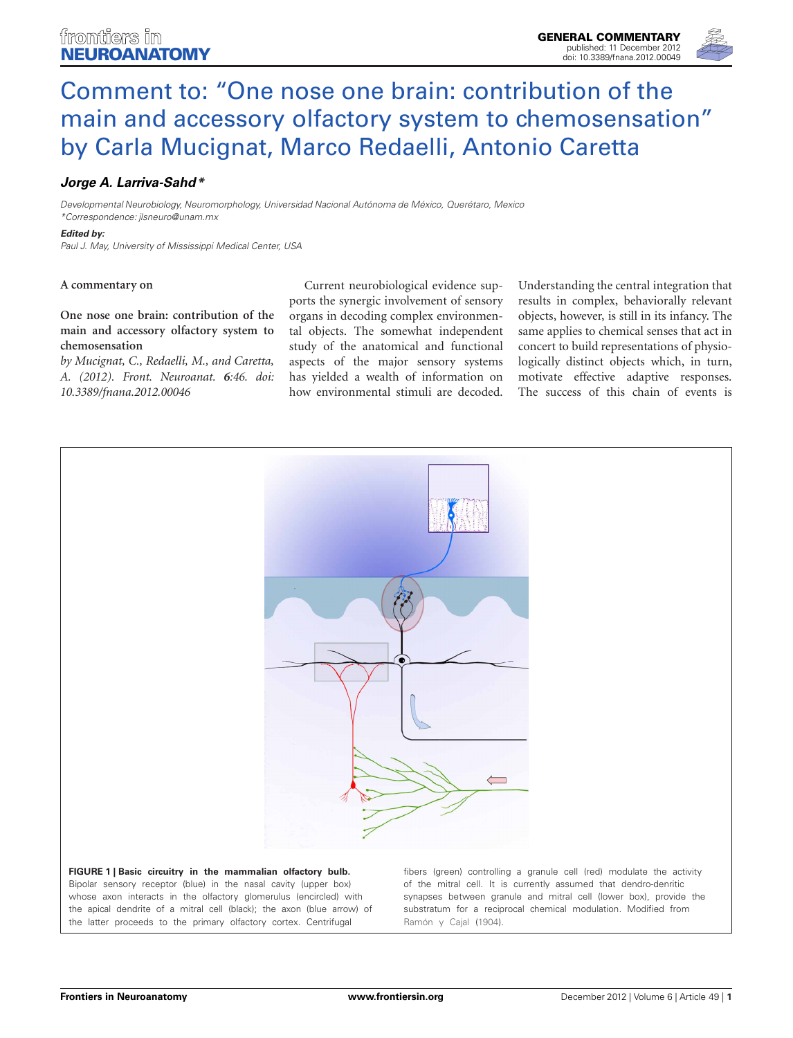

# Comment to: "One nose one brain: contribution of the [main and accessory olfactory system to chemosensation"](http://www.frontiersin.org/Neuroanatomy/10.3389/fnana.2012.00049/full) by Carla Mucignat, Marco Redaelli, Antonio Caretta

## *[Jorge A. Larriva-Sahd\\*](http://www.frontiersin.org/Community/WhosWhoActivity.aspx?sname=JorgeLarriva-Sahd_1&UID=17769)*

*Developmental Neurobiology, Neuromorphology, Universidad Nacional Autónoma de México, Querétaro, Mexico \*Correspondence: jlsneuro@unam.mx*

#### *Edited by:*

*Paul J. May, University of Mississippi Medical Center, USA*

#### **A commentary on**

**[One nose one brain: contribution of the](http://www.frontiersin.org/Neuroanatomy/10.3389/fnana.2012.00046/abstract) [main and accessory olfactory system to](http://www.frontiersin.org/Neuroanatomy/10.3389/fnana.2012.00046/abstract) [chemosensation](http://www.frontiersin.org/Neuroanatomy/10.3389/fnana.2012.00046/abstract)**

*by Mucignat, C., Redaelli, M., and Caretta, A. (2012). Front. Neuroanat. 6:46. doi: 10.3389/fnana.2012.00046*

Current neurobiological evidence supports the synergic involvement of sensory organs in decoding complex environmental objects. The somewhat independent study of the anatomical and functional aspects of the major sensory systems has yielded a wealth of information on how environmental stimuli are decoded. Understanding the central integration that results in complex, behaviorally relevant objects, however, is still in its infancy. The same applies to chemical senses that act in concert to build representations of physiologically distinct objects which, in turn, motivate effective adaptive responses. The success of this chain of events is



<span id="page-0-0"></span>whose axon interacts in the olfactory glomerulus (encircled) with the apical dendrite of a mitral cell (black); the axon (blue arrow) of the latter proceeds to the primary olfactory cortex. Centrifugal

synapses between granule and mitral cell (lower box), provide the substratum for a reciprocal chemical modulation. Modified from [Ramón y Cajal](#page-1-0) [\(1904](#page-1-0)).